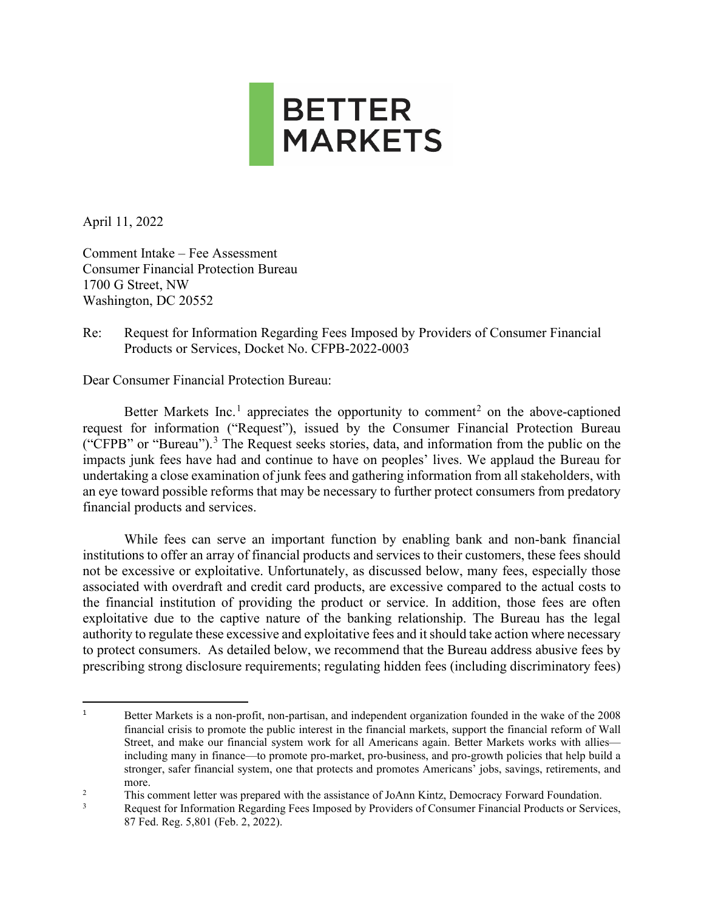

April 11, 2022

Comment Intake – Fee Assessment Consumer Financial Protection Bureau 1700 G Street, NW Washington, DC 20552

Re: Request for Information Regarding Fees Imposed by Providers of Consumer Financial Products or Services, Docket No. CFPB-2022-0003

Dear Consumer Financial Protection Bureau:

Better Markets Inc.<sup>[1](#page-0-0)</sup> appreciates the opportunity to comment<sup>[2](#page-0-1)</sup> on the above-captioned request for information ("Request"), issued by the Consumer Financial Protection Bureau ("CFPB" or "Bureau").<sup>[3](#page-0-2)</sup> The Request seeks stories, data, and information from the public on the impacts junk fees have had and continue to have on peoples' lives. We applaud the Bureau for undertaking a close examination of junk fees and gathering information from all stakeholders, with an eye toward possible reforms that may be necessary to further protect consumers from predatory financial products and services.

While fees can serve an important function by enabling bank and non-bank financial institutions to offer an array of financial products and services to their customers, these fees should not be excessive or exploitative. Unfortunately, as discussed below, many fees, especially those associated with overdraft and credit card products, are excessive compared to the actual costs to the financial institution of providing the product or service. In addition, those fees are often exploitative due to the captive nature of the banking relationship. The Bureau has the legal authority to regulate these excessive and exploitative fees and it should take action where necessary to protect consumers. As detailed below, we recommend that the Bureau address abusive fees by prescribing strong disclosure requirements; regulating hidden fees (including discriminatory fees)

<span id="page-0-0"></span><sup>&</sup>lt;sup>1</sup> Better Markets is a non-profit, non-partisan, and independent organization founded in the wake of the 2008 financial crisis to promote the public interest in the financial markets, support the financial reform of Wall Street, and make our financial system work for all Americans again. Better Markets works with allies including many in finance—to promote pro-market, pro-business, and pro-growth policies that help build a stronger, safer financial system, one that protects and promotes Americans' jobs, savings, retirements, and more.

<span id="page-0-2"></span><span id="page-0-1"></span><sup>&</sup>lt;sup>2</sup> This comment letter was prepared with the assistance of JoAnn Kintz, Democracy Forward Foundation.<br><sup>3</sup> Degust for Information Becoming Foce Impegad by Provident of Congumer Financial Products on Service

Request for Information Regarding Fees Imposed by Providers of Consumer Financial Products or Services, 87 Fed. Reg. 5,801 (Feb. 2, 2022).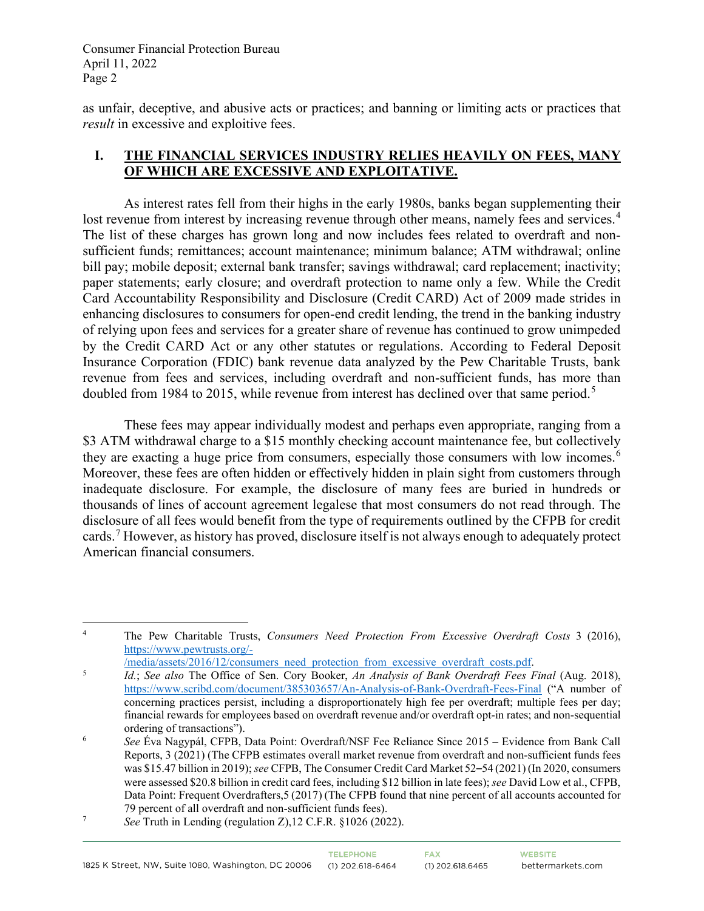as unfair, deceptive, and abusive acts or practices; and banning or limiting acts or practices that *result* in excessive and exploitive fees.

### **I. THE FINANCIAL SERVICES INDUSTRY RELIES HEAVILY ON FEES, MANY OF WHICH ARE EXCESSIVE AND EXPLOITATIVE.**

As interest rates fell from their highs in the early 1980s, banks began supplementing their lost revenue from interest by increasing revenue through other means, namely fees and services.<sup>[4](#page-1-0)</sup> The list of these charges has grown long and now includes fees related to overdraft and nonsufficient funds; remittances; account maintenance; minimum balance; ATM withdrawal; online bill pay; mobile deposit; external bank transfer; savings withdrawal; card replacement; inactivity; paper statements; early closure; and overdraft protection to name only a few. While the Credit Card Accountability Responsibility and Disclosure (Credit CARD) Act of 2009 made strides in enhancing disclosures to consumers for open-end credit lending, the trend in the banking industry of relying upon fees and services for a greater share of revenue has continued to grow unimpeded by the Credit CARD Act or any other statutes or regulations. According to Federal Deposit Insurance Corporation (FDIC) bank revenue data analyzed by the Pew Charitable Trusts, bank revenue from fees and services, including overdraft and non-sufficient funds, has more than doubled from 1984 to 201[5](#page-1-1), while revenue from interest has declined over that same period.<sup>5</sup>

These fees may appear individually modest and perhaps even appropriate, ranging from a \$3 ATM withdrawal charge to a \$15 monthly checking account maintenance fee, but collectively they are exacting a huge price from consumers, especially those consumers with low incomes.<sup>[6](#page-1-2)</sup> Moreover, these fees are often hidden or effectively hidden in plain sight from customers through inadequate disclosure. For example, the disclosure of many fees are buried in hundreds or thousands of lines of account agreement legalese that most consumers do not read through. The disclosure of all fees would benefit from the type of requirements outlined by the CFPB for credit cards.<sup>[7](#page-1-3)</sup> However, as history has proved, disclosure itself is not always enough to adequately protect American financial consumers.

<span id="page-1-0"></span><sup>4</sup> The Pew Charitable Trusts, *Consumers Need Protection From Excessive Overdraft Costs* 3 (2016), [https://www.pewtrusts.org/-](https://www.pewtrusts.org/-/media/assets/2016/12/consumers_need_protection_from_excessive_overdraft_costs.pdf)

 $\frac{1}{\text{median/asserts}/2016/12/\text{consumers}\text{need}}$  protection from excessive overdraft costs.pdf.

<span id="page-1-1"></span>*Id.*; *See also* The Office of Sen. Cory Booker, *An Analysis of Bank Overdraft Fees Final* (Aug. 2018), <https://www.scribd.com/document/385303657/An-Analysis-of-Bank-Overdraft-Fees-Final> ("A number of concerning practices persist, including a disproportionately high fee per overdraft; multiple fees per day; financial rewards for employees based on overdraft revenue and/or overdraft opt-in rates; and non-sequential ordering of transactions").

<span id="page-1-2"></span><sup>6</sup> *See* Éva Nagypál, CFPB, Data Point: Overdraft/NSF Fee Reliance Since 2015 – Evidence from Bank Call Reports, 3 (2021) (The CFPB estimates overall market revenue from overdraft and non-sufficient funds fees was \$15.47 billion in 2019); *see* CFPB, The Consumer Credit Card Market 52–54 (2021)(In 2020, consumers were assessed \$20.8 billion in credit card fees, including \$12 billion in late fees); *see* David Low et al., CFPB, Data Point: Frequent Overdrafters,5 (2017) (The CFPB found that nine percent of all accounts accounted for 79 percent of all overdraft and non-sufficient funds fees).

<span id="page-1-3"></span><sup>7</sup> *See* Truth in Lending (regulation Z),12 C.F.R. §1026 (2022).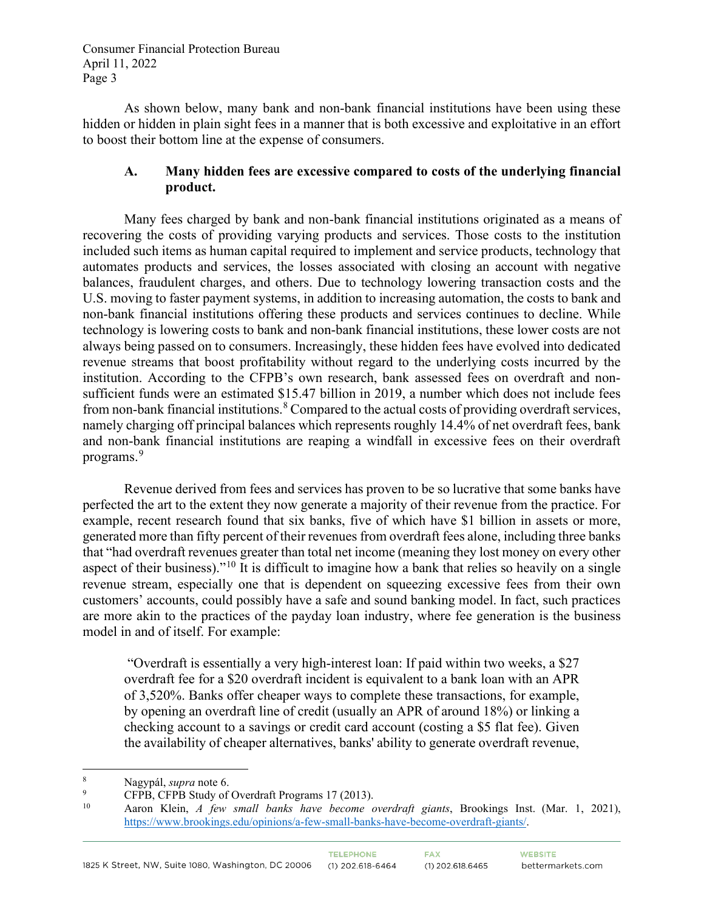As shown below, many bank and non-bank financial institutions have been using these hidden or hidden in plain sight fees in a manner that is both excessive and exploitative in an effort to boost their bottom line at the expense of consumers.

### **A. Many hidden fees are excessive compared to costs of the underlying financial product.**

Many fees charged by bank and non-bank financial institutions originated as a means of recovering the costs of providing varying products and services. Those costs to the institution included such items as human capital required to implement and service products, technology that automates products and services, the losses associated with closing an account with negative balances, fraudulent charges, and others. Due to technology lowering transaction costs and the U.S. moving to faster payment systems, in addition to increasing automation, the costs to bank and non-bank financial institutions offering these products and services continues to decline. While technology is lowering costs to bank and non-bank financial institutions, these lower costs are not always being passed on to consumers. Increasingly, these hidden fees have evolved into dedicated revenue streams that boost profitability without regard to the underlying costs incurred by the institution. According to the CFPB's own research, bank assessed fees on overdraft and nonsufficient funds were an estimated \$15.47 billion in 2019, a number which does not include fees from non-bank financial institutions.<sup>[8](#page-2-0)</sup> Compared to the actual costs of providing overdraft services, namely charging off principal balances which represents roughly 14.4% of net overdraft fees, bank and non-bank financial institutions are reaping a windfall in excessive fees on their overdraft programs.<sup>[9](#page-2-1)</sup>

Revenue derived from fees and services has proven to be so lucrative that some banks have perfected the art to the extent they now generate a majority of their revenue from the practice. For example, recent research found that six banks, five of which have \$1 billion in assets or more, generated more than fifty percent of their revenues from overdraft fees alone, including three banks that "had overdraft revenues greater than total net income (meaning they lost money on every other aspect of their business)."[10](#page-2-2) It is difficult to imagine how a bank that relies so heavily on a single revenue stream, especially one that is dependent on squeezing excessive fees from their own customers' accounts, could possibly have a safe and sound banking model. In fact, such practices are more akin to the practices of the payday loan industry, where fee generation is the business model in and of itself. For example:

"Overdraft is essentially a very high-interest loan: If paid within two weeks, a \$27 overdraft fee for a \$20 overdraft incident is equivalent to a bank loan with an APR of 3,520%. Banks offer cheaper ways to complete these transactions, for example, by opening an overdraft line of credit (usually an APR of around 18%) or linking a checking account to a savings or credit card account (costing a \$5 flat fee). Given the availability of cheaper alternatives, banks' ability to generate overdraft revenue,

<span id="page-2-0"></span><sup>8</sup> Nagypál, *supra* note 6.

<span id="page-2-1"></span><sup>9</sup> <sup>9</sup> CFPB, CFPB Study of Overdraft Programs 17 (2013).

<span id="page-2-2"></span><sup>10</sup> Aaron Klein, *A few small banks have become overdraft giants*, Brookings Inst. (Mar. 1, 2021), [https://www.brookings.edu/opinions/a-few-small-banks-have-become-overdraft-giants/.](https://www.brookings.edu/opinions/a-few-small-banks-have-become-overdraft-giants/)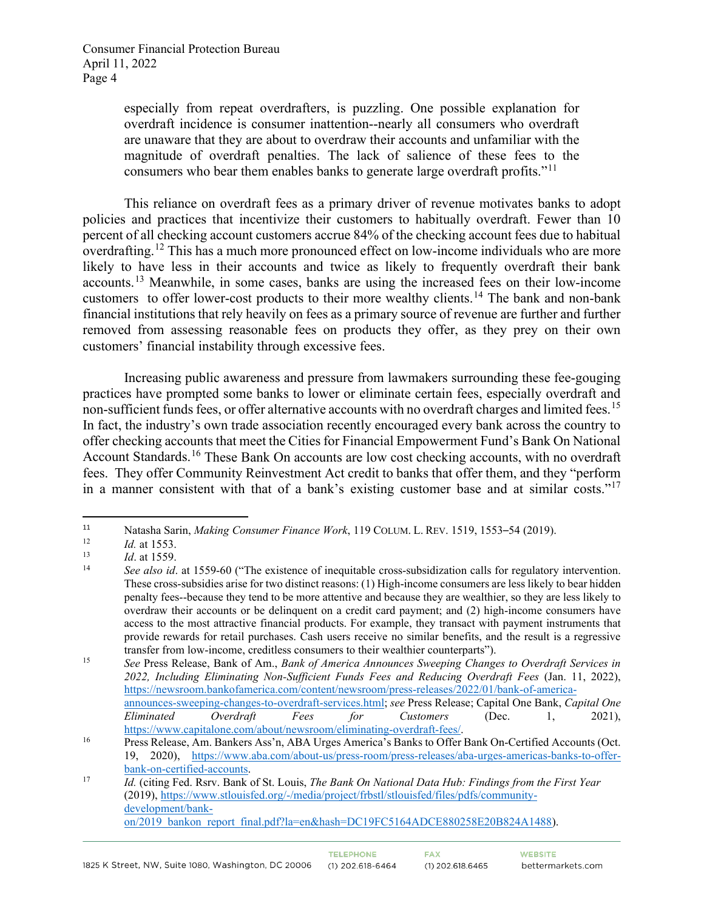especially from repeat overdrafters, is puzzling. One possible explanation for overdraft incidence is consumer inattention--nearly all consumers who overdraft are unaware that they are about to overdraw their accounts and unfamiliar with the magnitude of overdraft penalties. The lack of salience of these fees to the consumers who bear them enables banks to generate large overdraft profits."<sup>[11](#page-3-0)</sup>

This reliance on overdraft fees as a primary driver of revenue motivates banks to adopt policies and practices that incentivize their customers to habitually overdraft. Fewer than 10 percent of all checking account customers accrue 84% of the checking account fees due to habitual overdrafting.<sup>[12](#page-3-1)</sup> This has a much more pronounced effect on low-income individuals who are more likely to have less in their accounts and twice as likely to frequently overdraft their bank accounts.[13](#page-3-2) Meanwhile, in some cases, banks are using the increased fees on their low-income customers to offer lower-cost products to their more wealthy clients.<sup>[14](#page-3-3)</sup> The bank and non-bank financial institutions that rely heavily on fees as a primary source of revenue are further and further removed from assessing reasonable fees on products they offer, as they prey on their own customers' financial instability through excessive fees.

Increasing public awareness and pressure from lawmakers surrounding these fee-gouging practices have prompted some banks to lower or eliminate certain fees, especially overdraft and non-sufficient funds fees, or offer alternative accounts with no overdraft charges and limited fees.<sup>[15](#page-3-4)</sup> In fact, the industry's own trade association recently encouraged every bank across the country to offer checking accounts that meet the Cities for Financial Empowerment Fund's Bank On National Account Standards.<sup>[16](#page-3-5)</sup> These Bank On accounts are low cost checking accounts, with no overdraft fees. They offer Community Reinvestment Act credit to banks that offer them, and they "perform in a manner consistent with that of a bank's existing customer base and at similar costs."[17](#page-3-6)

<span id="page-3-0"></span><sup>11</sup> Natasha Sarin, *Making Consumer Finance Work*, 119 COLUM. L. REV. 1519, 1553–54 (2019).

<span id="page-3-2"></span><span id="page-3-1"></span>

<span id="page-3-3"></span>

<sup>12&</sup>lt;br>
13 *Id.* at 1559.<br>
14 *See also id.* at 1559-60 ("The existence of inequitable cross-subsidization calls for regulatory intervention. These cross-subsidies arise for two distinct reasons: (1) High-income consumers are less likely to bear hidden penalty fees--because they tend to be more attentive and because they are wealthier, so they are less likely to overdraw their accounts or be delinquent on a credit card payment; and (2) high-income consumers have access to the most attractive financial products. For example, they transact with payment instruments that provide rewards for retail purchases. Cash users receive no similar benefits, and the result is a regressive transfer from low-income, creditless consumers to their wealthier counterparts").

<span id="page-3-4"></span><sup>15</sup> *See* Press Release, Bank of Am., *Bank of America Announces Sweeping Changes to Overdraft Services in 2022, Including Eliminating Non-Sufficient Funds Fees and Reducing Overdraft Fees* (Jan. 11, 2022), [https://newsroom.bankofamerica.com/content/newsroom/press-releases/2022/01/bank-of-america](https://newsroom.bankofamerica.com/content/newsroom/press-releases/2022/01/bank-of-america-announces-sweeping-changes-to-overdraft-services.html)[announces-sweeping-changes-to-overdraft-services.html;](https://newsroom.bankofamerica.com/content/newsroom/press-releases/2022/01/bank-of-america-announces-sweeping-changes-to-overdraft-services.html) *see* Press Release; Capital One Bank, *Capital One* 

*Eliminated Overdraft Fees for Customers* (Dec. 1, 2021), [https://www.capitalone.com/about/newsroom/eliminating-overdraft-fees/.](https://www.capitalone.com/about/newsroom/eliminating-overdraft-fees/)<br><sup>16</sup> Press Release, Am. Bankers Ass'n, ABA Urges America's Banks to Offer Bank On-Certified Accounts (Oct.

<span id="page-3-5"></span><sup>19, 2020),</sup> [https://www.aba.com/about-us/press-room/press-releases/aba-urges-americas-banks-to-offer-](https://www.aba.com/about-us/press-room/press-releases/aba-urges-americas-banks-to-offer-bank-on-certified-accounts)

<span id="page-3-6"></span>[bank-on-certified-accounts.](https://www.aba.com/about-us/press-room/press-releases/aba-urges-americas-banks-to-offer-bank-on-certified-accounts) 17 *Id.* (citing Fed. Rsrv. Bank of St. Louis, *The Bank On National Data Hub: Findings from the First Year* (2019)[, https://www.stlouisfed.org/-/media/project/frbstl/stlouisfed/files/pdfs/community](https://www.stlouisfed.org/-/media/project/frbstl/stlouisfed/files/pdfs/community-development/bank-on/2019_bankon_report_final.pdf?la=en&hash=DC19FC5164ADCE880258E20B824A1488)[development/bank](https://www.stlouisfed.org/-/media/project/frbstl/stlouisfed/files/pdfs/community-development/bank-on/2019_bankon_report_final.pdf?la=en&hash=DC19FC5164ADCE880258E20B824A1488)[on/2019\\_bankon\\_report\\_final.pdf?la=en&hash=DC19FC5164ADCE880258E20B824A1488\)](https://www.stlouisfed.org/-/media/project/frbstl/stlouisfed/files/pdfs/community-development/bank-on/2019_bankon_report_final.pdf?la=en&hash=DC19FC5164ADCE880258E20B824A1488).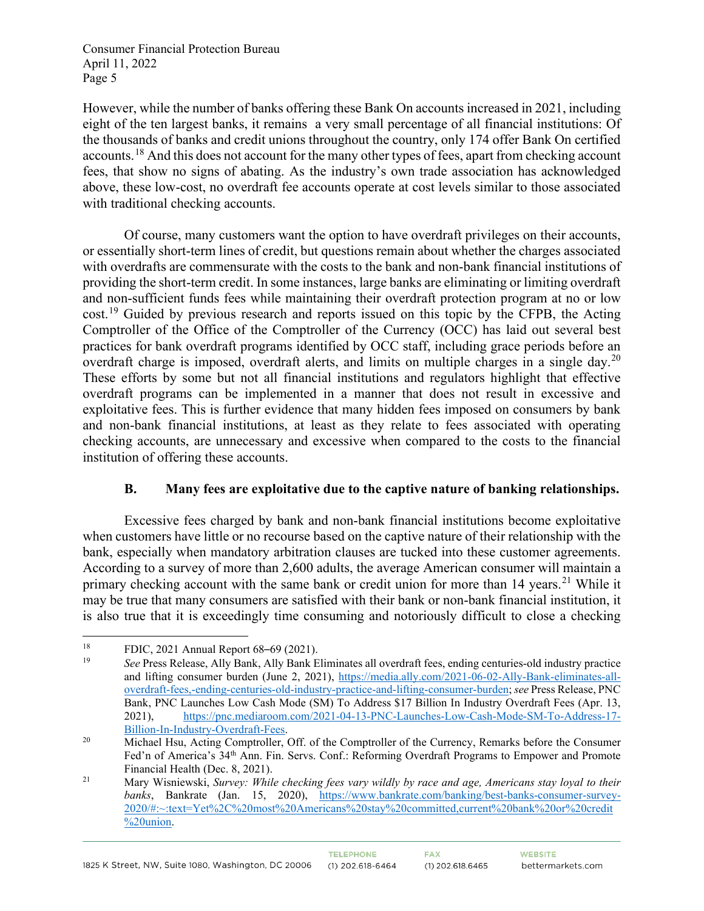However, while the number of banks offering these Bank On accounts increased in 2021, including eight of the ten largest banks, it remains a very small percentage of all financial institutions: Of the thousands of banks and credit unions throughout the country, only 174 offer Bank On certified accounts.[18](#page-4-0) And this does not account for the many other types of fees, apart from checking account fees, that show no signs of abating. As the industry's own trade association has acknowledged above, these low-cost, no overdraft fee accounts operate at cost levels similar to those associated with traditional checking accounts.

Of course, many customers want the option to have overdraft privileges on their accounts, or essentially short-term lines of credit, but questions remain about whether the charges associated with overdrafts are commensurate with the costs to the bank and non-bank financial institutions of providing the short-term credit. In some instances, large banks are eliminating or limiting overdraft and non-sufficient funds fees while maintaining their overdraft protection program at no or low cost.<sup>[19](#page-4-1)</sup> Guided by previous research and reports issued on this topic by the CFPB, the Acting Comptroller of the Office of the Comptroller of the Currency (OCC) has laid out several best practices for bank overdraft programs identified by OCC staff, including grace periods before an overdraft charge is imposed, overdraft alerts, and limits on multiple charges in a single day.<sup>[20](#page-4-2)</sup> These efforts by some but not all financial institutions and regulators highlight that effective overdraft programs can be implemented in a manner that does not result in excessive and exploitative fees. This is further evidence that many hidden fees imposed on consumers by bank and non-bank financial institutions, at least as they relate to fees associated with operating checking accounts, are unnecessary and excessive when compared to the costs to the financial institution of offering these accounts.

### **B. Many fees are exploitative due to the captive nature of banking relationships.**

Excessive fees charged by bank and non-bank financial institutions become exploitative when customers have little or no recourse based on the captive nature of their relationship with the bank, especially when mandatory arbitration clauses are tucked into these customer agreements. According to a survey of more than 2,600 adults, the average American consumer will maintain a primary checking account with the same bank or credit union for more than 14 years.<sup>[21](#page-4-3)</sup> While it may be true that many consumers are satisfied with their bank or non-bank financial institution, it is also true that it is exceedingly time consuming and notoriously difficult to close a checking

<span id="page-4-0"></span><sup>&</sup>lt;sup>18</sup> FDIC, 2021 Annual Report  $68-69$  (2021).

<span id="page-4-1"></span><sup>19</sup> *See* Press Release, Ally Bank, Ally Bank Eliminates all overdraft fees, ending centuries-old industry practice and lifting consumer burden (June 2, 2021), [https://media.ally.com/2021-06-02-Ally-Bank-eliminates-all](https://media.ally.com/2021-06-02-Ally-Bank-eliminates-all-overdraft-fees,-ending-centuries-old-industry-practice-and-lifting-consumer-burden)[overdraft-fees,-ending-centuries-old-industry-practice-and-lifting-consumer-burden;](https://media.ally.com/2021-06-02-Ally-Bank-eliminates-all-overdraft-fees,-ending-centuries-old-industry-practice-and-lifting-consumer-burden) *see* Press Release, PNC Bank, PNC Launches Low Cash Mode (SM) To Address \$17 Billion In Industry Overdraft Fees (Apr. 13, 2021), [https://pnc.mediaroom.com/2021-04-13-PNC-Launches-Low-Cash-Mode-SM-To-Address-17-](https://pnc.mediaroom.com/2021-04-13-PNC-Launches-Low-Cash-Mode-SM-To-Address-17-Billion-In-Industry-Overdraft-Fees) [Billion-In-Industry-Overdraft-Fees.](https://pnc.mediaroom.com/2021-04-13-PNC-Launches-Low-Cash-Mode-SM-To-Address-17-Billion-In-Industry-Overdraft-Fees)<br><sup>20</sup> Michael Hsu, Acting Comptroller, Off. of the Comptroller of the Currency, Remarks before the Consumer

<span id="page-4-2"></span>Fed'n of America's 34th Ann. Fin. Servs. Conf.: Reforming Overdraft Programs to Empower and Promote Financial Health (Dec. 8, 2021).

<span id="page-4-3"></span><sup>21</sup> Mary Wisniewski, *Survey: While checking fees vary wildly by race and age, Americans stay loyal to their banks*, Bankrate (Jan. 15, 2020), [https://www.bankrate.com/banking/best-banks-consumer-survey-](https://www.bankrate.com/banking/best-banks-consumer-survey-2020/#:%7E:text=Yet%2C%20most%20Americans%20stay%20committed,current%20bank%20or%20credit%20union)[2020/#:~:text=Yet%2C%20most%20Americans%20stay%20committed,current%20bank%20or%20credit](https://www.bankrate.com/banking/best-banks-consumer-survey-2020/#:%7E:text=Yet%2C%20most%20Americans%20stay%20committed,current%20bank%20or%20credit%20union) [%20union.](https://www.bankrate.com/banking/best-banks-consumer-survey-2020/#:%7E:text=Yet%2C%20most%20Americans%20stay%20committed,current%20bank%20or%20credit%20union)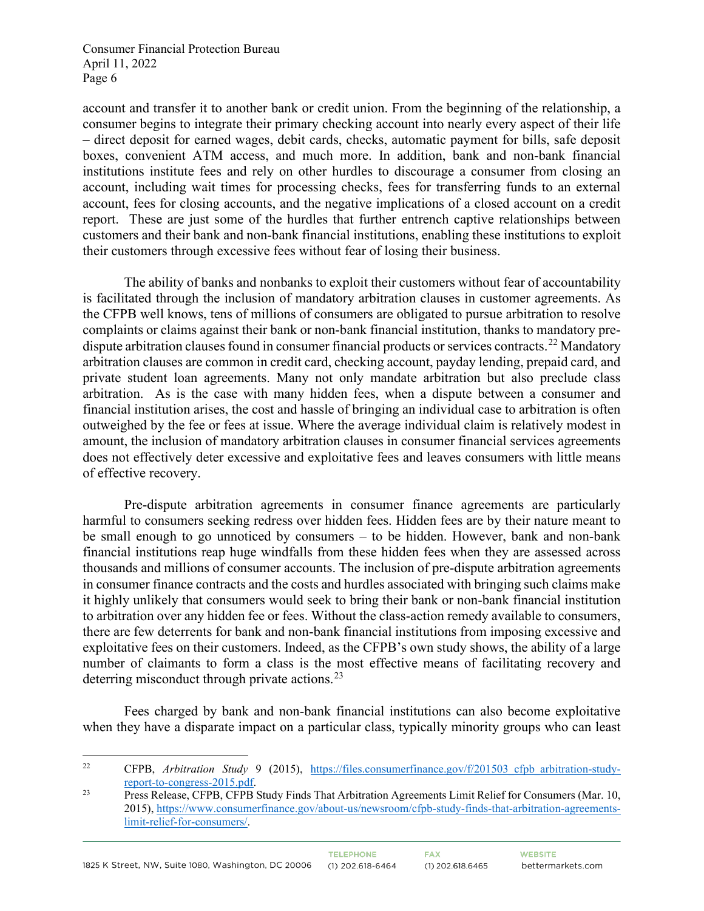account and transfer it to another bank or credit union. From the beginning of the relationship, a consumer begins to integrate their primary checking account into nearly every aspect of their life – direct deposit for earned wages, debit cards, checks, automatic payment for bills, safe deposit boxes, convenient ATM access, and much more. In addition, bank and non-bank financial institutions institute fees and rely on other hurdles to discourage a consumer from closing an account, including wait times for processing checks, fees for transferring funds to an external account, fees for closing accounts, and the negative implications of a closed account on a credit report. These are just some of the hurdles that further entrench captive relationships between customers and their bank and non-bank financial institutions, enabling these institutions to exploit their customers through excessive fees without fear of losing their business.

The ability of banks and nonbanks to exploit their customers without fear of accountability is facilitated through the inclusion of mandatory arbitration clauses in customer agreements. As the CFPB well knows, tens of millions of consumers are obligated to pursue arbitration to resolve complaints or claims against their bank or non-bank financial institution, thanks to mandatory pre-dispute arbitration clauses found in consumer financial products or services contracts.<sup>[22](#page-5-0)</sup> Mandatory arbitration clauses are common in credit card, checking account, payday lending, prepaid card, and private student loan agreements. Many not only mandate arbitration but also preclude class arbitration. As is the case with many hidden fees, when a dispute between a consumer and financial institution arises, the cost and hassle of bringing an individual case to arbitration is often outweighed by the fee or fees at issue. Where the average individual claim is relatively modest in amount, the inclusion of mandatory arbitration clauses in consumer financial services agreements does not effectively deter excessive and exploitative fees and leaves consumers with little means of effective recovery.

Pre-dispute arbitration agreements in consumer finance agreements are particularly harmful to consumers seeking redress over hidden fees. Hidden fees are by their nature meant to be small enough to go unnoticed by consumers – to be hidden. However, bank and non-bank financial institutions reap huge windfalls from these hidden fees when they are assessed across thousands and millions of consumer accounts. The inclusion of pre-dispute arbitration agreements in consumer finance contracts and the costs and hurdles associated with bringing such claims make it highly unlikely that consumers would seek to bring their bank or non-bank financial institution to arbitration over any hidden fee or fees. Without the class-action remedy available to consumers, there are few deterrents for bank and non-bank financial institutions from imposing excessive and exploitative fees on their customers. Indeed, as the CFPB's own study shows, the ability of a large number of claimants to form a class is the most effective means of facilitating recovery and deterring misconduct through private actions.<sup>23</sup>

Fees charged by bank and non-bank financial institutions can also become exploitative when they have a disparate impact on a particular class, typically minority groups who can least

<span id="page-5-0"></span><sup>&</sup>lt;sup>22</sup> CFPB, *Arbitration Study* 9 (2015), https://files.consumerfinance.gov/f/201503 cfpb arbitration-study[report-to-congress-2015.pdf.](https://files.consumerfinance.gov/f/201503_cfpb_arbitration-study-report-to-congress-2015.pdf) 23 Press Release, CFPB, CFPB Study Finds That Arbitration Agreements Limit Relief for Consumers (Mar. 10,

<span id="page-5-1"></span><sup>2015),</sup> [https://www.consumerfinance.gov/about-us/newsroom/cfpb-study-finds-that-arbitration-agreements](https://www.consumerfinance.gov/about-us/newsroom/cfpb-study-finds-that-arbitration-agreements-limit-relief-for-consumers/)[limit-relief-for-consumers/.](https://www.consumerfinance.gov/about-us/newsroom/cfpb-study-finds-that-arbitration-agreements-limit-relief-for-consumers/)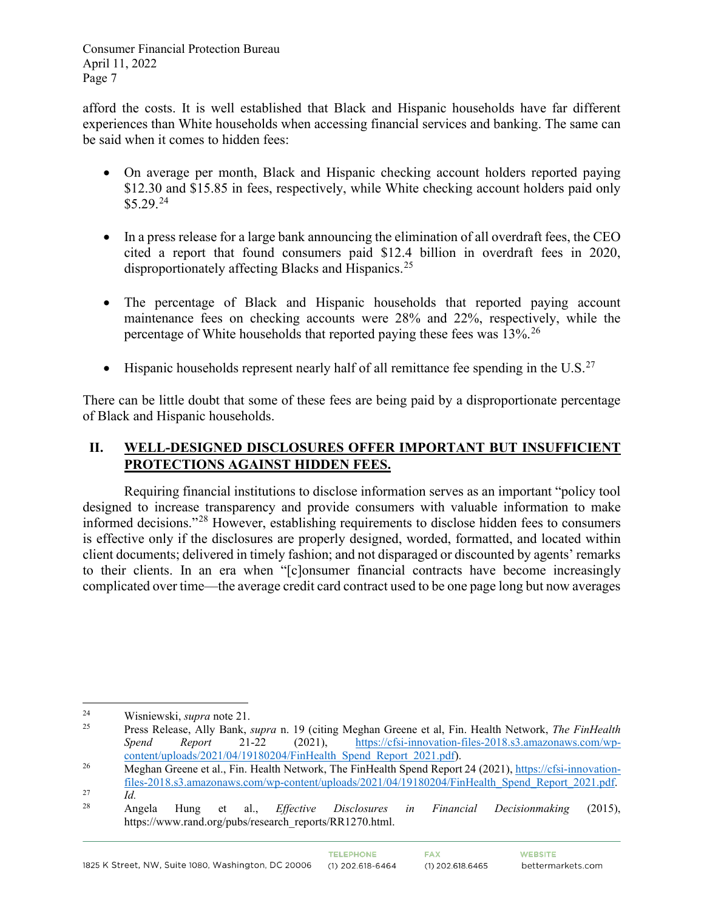afford the costs. It is well established that Black and Hispanic households have far different experiences than White households when accessing financial services and banking. The same can be said when it comes to hidden fees:

- On average per month, Black and Hispanic checking account holders reported paying \$12.30 and \$15.85 in fees, respectively, while White checking account holders paid only  $$5.29.<sup>24</sup>$  $$5.29.<sup>24</sup>$  $$5.29.<sup>24</sup>$
- In a press release for a large bank announcing the elimination of all overdraft fees, the CEO cited a report that found consumers paid \$12.4 billion in overdraft fees in 2020, disproportionately affecting Blacks and Hispanics.<sup>25</sup>
- The percentage of Black and Hispanic households that reported paying account maintenance fees on checking accounts were 28% and 22%, respectively, while the percentage of White households that reported paying these fees was  $13\%$ <sup>[26](#page-6-2)</sup>
- Hispanic households represent nearly half of all remittance fee spending in the U.S.<sup>[27](#page-6-3)</sup>

There can be little doubt that some of these fees are being paid by a disproportionate percentage of Black and Hispanic households.

# **II. WELL-DESIGNED DISCLOSURES OFFER IMPORTANT BUT INSUFFICIENT PROTECTIONS AGAINST HIDDEN FEES.**

Requiring financial institutions to disclose information serves as an important "policy tool designed to increase transparency and provide consumers with valuable information to make informed decisions."[28](#page-6-4) However, establishing requirements to disclose hidden fees to consumers is effective only if the disclosures are properly designed, worded, formatted, and located within client documents; delivered in timely fashion; and not disparaged or discounted by agents' remarks to their clients. In an era when "[c]onsumer financial contracts have become increasingly complicated over time—the average credit card contract used to be one page long but now averages

<span id="page-6-0"></span><sup>&</sup>lt;sup>24</sup> Wisniewski, *supra* note 21.<br><sup>25</sup> Press Pelegge Ally Bank

<span id="page-6-1"></span><sup>25</sup> Press Release, Ally Bank, *supra* n. 19 (citing Meghan Greene et al, Fin. Health Network, *The FinHealth Spend Report* 21-22 (2021), [https://cfsi-innovation-files-2018.s3.amazonaws.com/wp](https://cfsi-innovation-files-2018.s3.amazonaws.com/wp-content/uploads/2021/04/19180204/FinHealth_Spend_Report_2021.pdf)[content/uploads/2021/04/19180204/FinHealth\\_Spend\\_Report\\_2021.pdf\)](https://cfsi-innovation-files-2018.s3.amazonaws.com/wp-content/uploads/2021/04/19180204/FinHealth_Spend_Report_2021.pdf).

<span id="page-6-2"></span><sup>&</sup>lt;sup>26</sup> Meghan Greene et al., Fin. Health Network, The FinHealth Spend Report 24 (2021)[, https://cfsi-innovation](https://cfsi-innovation-files-2018.s3.amazonaws.com/wp-content/uploads/2021/04/19180204/FinHealth_Spend_Report_2021.pdf)[files-2018.s3.amazonaws.com/wp-content/uploads/2021/04/19180204/FinHealth\\_Spend\\_Report\\_2021.pdf.](https://cfsi-innovation-files-2018.s3.amazonaws.com/wp-content/uploads/2021/04/19180204/FinHealth_Spend_Report_2021.pdf)<br> *Id.* 28 **Apple Uppe of all Effective Disclessings** in Financial Designmative (2015)

<span id="page-6-4"></span><span id="page-6-3"></span>

<sup>28</sup> Angela Hung et al., *Effective Disclosures in Financial Decisionmaking* (2015), https://www.rand.org/pubs/research\_reports/RR1270.html.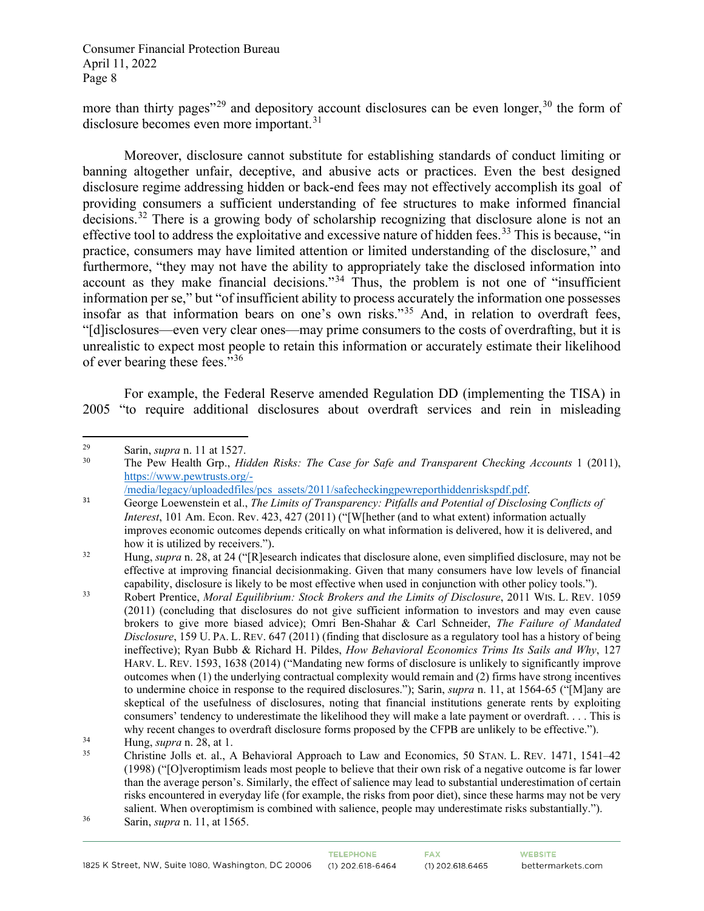more than thirty pages"<sup>[29](#page-7-0)</sup> and depository account disclosures can be even longer,<sup>[30](#page-7-1)</sup> the form of disclosure becomes even more important.<sup>[31](#page-7-2)</sup>

Moreover, disclosure cannot substitute for establishing standards of conduct limiting or banning altogether unfair, deceptive, and abusive acts or practices. Even the best designed disclosure regime addressing hidden or back-end fees may not effectively accomplish its goal of providing consumers a sufficient understanding of fee structures to make informed financial decisions.<sup>[32](#page-7-3)</sup> There is a growing body of scholarship recognizing that disclosure alone is not an effective tool to address the exploitative and excessive nature of hidden fees.<sup>[33](#page-7-4)</sup> This is because, "in practice, consumers may have limited attention or limited understanding of the disclosure," and furthermore, "they may not have the ability to appropriately take the disclosed information into account as they make financial decisions."[34](#page-7-5) Thus, the problem is not one of "insufficient information per se," but "of insufficient ability to process accurately the information one possesses insofar as that information bears on one's own risks."[35](#page-7-6) And, in relation to overdraft fees, "[d]isclosures—even very clear ones—may prime consumers to the costs of overdrafting, but it is unrealistic to expect most people to retain this information or accurately estimate their likelihood of ever bearing these fees."[36](#page-7-7) 

For example, the Federal Reserve amended Regulation DD (implementing the TISA) in 2005 "to require additional disclosures about overdraft services and rein in misleading

<span id="page-7-0"></span><sup>&</sup>lt;sup>29</sup> Sarin, *supra* n. 11 at 1527.<br><sup>30</sup> The Pew Health Grn *Hierary* 

<span id="page-7-1"></span><sup>30</sup> The Pew Health Grp., *Hidden Risks: The Case for Safe and Transparent Checking Accounts* 1 (2011), [https://www.pewtrusts.org/-](https://www.pewtrusts.org/-/media/legacy/uploadedfiles/pcs_assets/2011/safecheckingpewreporthiddenriskspdf.pdf)

[<sup>/</sup>media/legacy/uploadedfiles/pcs\\_assets/2011/safecheckingpewreporthiddenriskspdf.pdf.](https://www.pewtrusts.org/-/media/legacy/uploadedfiles/pcs_assets/2011/safecheckingpewreporthiddenriskspdf.pdf)

<span id="page-7-2"></span><sup>31</sup> George Loewenstein et al., *The Limits of Transparency: Pitfalls and Potential of Disclosing Conflicts of Interest*, 101 Am. Econ. Rev. 423, 427 (2011) ("[W[hether (and to what extent) information actually improves economic outcomes depends critically on what information is delivered, how it is delivered, and how it is utilized by receivers.").

<span id="page-7-3"></span><sup>32</sup> Hung, *supra* n. 28, at 24 ("[R]esearch indicates that disclosure alone, even simplified disclosure, may not be effective at improving financial decisionmaking. Given that many consumers have low levels of financial capability, disclosure is likely to be most effective when used in conjunction with other policy tools.").<br>33 Robert Prentice, *Moral Equilibrium: Stock Brokers and the Limits of Disclosure*, 2011 WIS. L. REV. 1059

<span id="page-7-4"></span><sup>(2011) (</sup>concluding that disclosures do not give sufficient information to investors and may even cause brokers to give more biased advice); Omri Ben-Shahar & Carl Schneider, *The Failure of Mandated Disclosure*, 159 U. PA. L. REV. 647 (2011) (finding that disclosure as a regulatory tool has a history of being ineffective); Ryan Bubb & Richard H. Pildes, *How Behavioral Economics Trims Its Sails and Why*, 127 HARV. L. REV. 1593, 1638 (2014) ("Mandating new forms of disclosure is unlikely to significantly improve outcomes when (1) the underlying contractual complexity would remain and (2) firms have strong incentives to undermine choice in response to the required disclosures."); Sarin, *supra* n. 11, at 1564-65 ("[M]any are skeptical of the usefulness of disclosures, noting that financial institutions generate rents by exploiting consumers' tendency to underestimate the likelihood they will make a late payment or overdraft. . . . This is why recent changes to overdraft disclosure forms proposed by the CFPB are unlikely to be effective.").

<span id="page-7-6"></span><span id="page-7-5"></span>

<sup>&</sup>lt;sup>34</sup> Hung, *supra* n. 28, at 1.<br><sup>35</sup> Christine Jolls et. al., A Behavioral Approach to Law and Economics, 50 STAN. L. REV. 1471, 1541–42 (1998) ("[O]veroptimism leads most people to believe that their own risk of a negative outcome is far lower than the average person's. Similarly, the effect of salience may lead to substantial underestimation of certain risks encountered in everyday life (for example, the risks from poor diet), since these harms may not be very salient. When overoptimism is combined with salience, people may underestimate risks substantially.").<br>Sarin, *supra* n. 11, at 1565.

<span id="page-7-7"></span>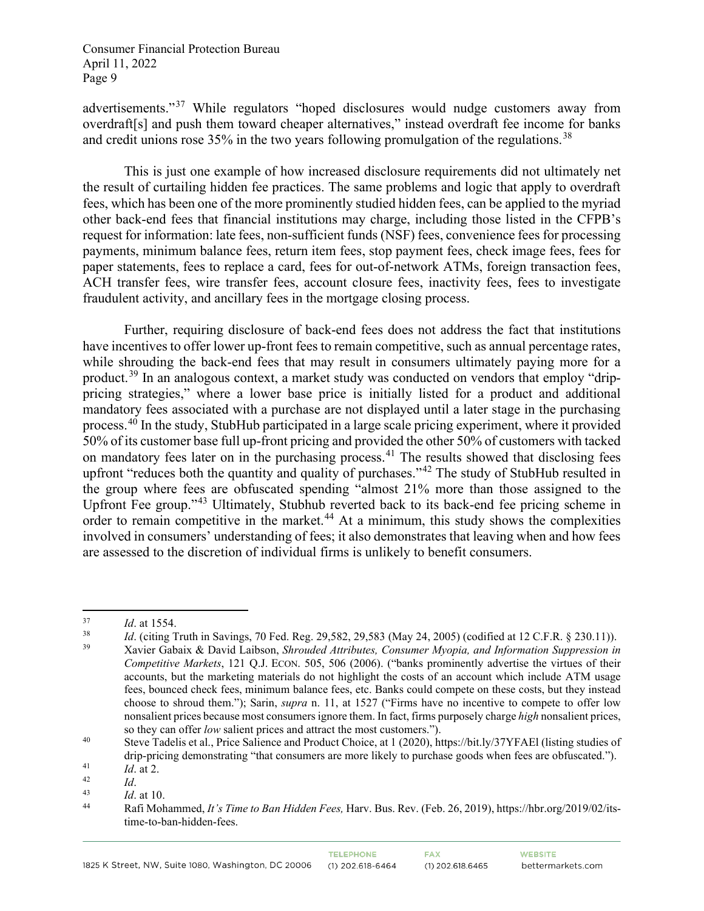advertisements."[37](#page-8-0) While regulators "hoped disclosures would nudge customers away from overdraft[s] and push them toward cheaper alternatives," instead overdraft fee income for banks and credit unions rose 35% in the two years following promulgation of the regulations.<sup>[38](#page-8-1)</sup>

This is just one example of how increased disclosure requirements did not ultimately net the result of curtailing hidden fee practices. The same problems and logic that apply to overdraft fees, which has been one of the more prominently studied hidden fees, can be applied to the myriad other back-end fees that financial institutions may charge, including those listed in the CFPB's request for information: late fees, non-sufficient funds (NSF) fees, convenience fees for processing payments, minimum balance fees, return item fees, stop payment fees, check image fees, fees for paper statements, fees to replace a card, fees for out-of-network ATMs, foreign transaction fees, ACH transfer fees, wire transfer fees, account closure fees, inactivity fees, fees to investigate fraudulent activity, and ancillary fees in the mortgage closing process.

Further, requiring disclosure of back-end fees does not address the fact that institutions have incentives to offer lower up-front fees to remain competitive, such as annual percentage rates, while shrouding the back-end fees that may result in consumers ultimately paying more for a product.<sup>[39](#page-8-2)</sup> In an analogous context, a market study was conducted on vendors that employ "drippricing strategies," where a lower base price is initially listed for a product and additional mandatory fees associated with a purchase are not displayed until a later stage in the purchasing process.<sup>[40](#page-8-3)</sup> In the study, StubHub participated in a large scale pricing experiment, where it provided 50% of its customer base full up-front pricing and provided the other 50% of customers with tacked on mandatory fees later on in the purchasing process.<sup>[41](#page-8-4)</sup> The results showed that disclosing fees upfront "reduces both the quantity and quality of purchases."<sup>[42](#page-8-5)</sup> The study of StubHub resulted in the group where fees are obfuscated spending "almost 21% more than those assigned to the Upfront Fee group."[43](#page-8-6) Ultimately, Stubhub reverted back to its back-end fee pricing scheme in order to remain competitive in the market.<sup>[44](#page-8-7)</sup> At a minimum, this study shows the complexities involved in consumers' understanding of fees; it also demonstrates that leaving when and how fees are assessed to the discretion of individual firms is unlikely to benefit consumers.

<span id="page-8-2"></span><span id="page-8-1"></span><span id="page-8-0"></span>*Id.* at 1554.<br> *Id.* (citing Truth in Savings, 70 Fed. Reg. 29,582, 29,583 (May 24, 2005) (codified at 12 C.F.R. § 230.11)).<br> *Xavier Gabaix & David Laibson, Shrouded Attributes, Consumer Myopia, and Information Suppressi Competitive Markets*, 121 Q.J. ECON. 505, 506 (2006). ("banks prominently advertise the virtues of their accounts, but the marketing materials do not highlight the costs of an account which include ATM usage fees, bounced check fees, minimum balance fees, etc. Banks could compete on these costs, but they instead choose to shroud them."); Sarin, *supra* n. 11, at 1527 ("Firms have no incentive to compete to offer low nonsalient prices because most consumers ignore them. In fact, firms purposely charge *high* nonsalient prices, so they can offer *low* salient prices and attract the most customers.").

<span id="page-8-3"></span><sup>40</sup> Steve Tadelis et al., Price Salience and Product Choice, at 1 (2020), https://bit.ly/37YFAEl (listing studies of drip-pricing demonstrating "that consumers are more likely to purchase goods when fees are obfuscated.").

<span id="page-8-7"></span><span id="page-8-6"></span>

<span id="page-8-5"></span><span id="page-8-4"></span><sup>11</sup> *Id.* at 2.<br>
<sup>42</sup> *Id.* at 10.<br>
<sup>43</sup> *Id.* at 10.<br> **44** Rafi Mohammed, *It's Time to Ban Hidden Fees*, Harv. Bus. Rev. (Feb. 26, 2019), https://hbr.org/2019/02/itstime-to-ban-hidden-fees.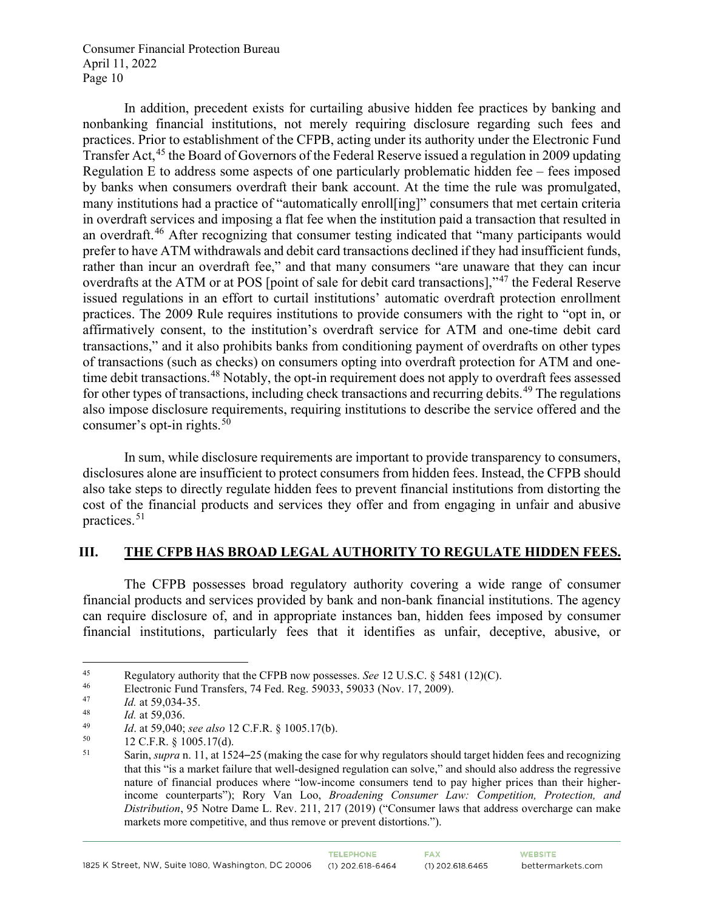In addition, precedent exists for curtailing abusive hidden fee practices by banking and nonbanking financial institutions, not merely requiring disclosure regarding such fees and practices. Prior to establishment of the CFPB, acting under its authority under the Electronic Fund Transfer Act,<sup>[45](#page-9-0)</sup> the Board of Governors of the Federal Reserve issued a regulation in 2009 updating Regulation E to address some aspects of one particularly problematic hidden fee – fees imposed by banks when consumers overdraft their bank account. At the time the rule was promulgated, many institutions had a practice of "automatically enroll[ing]" consumers that met certain criteria in overdraft services and imposing a flat fee when the institution paid a transaction that resulted in an overdraft.<sup>[46](#page-9-1)</sup> After recognizing that consumer testing indicated that "many participants would prefer to have ATM withdrawals and debit card transactions declined if they had insufficient funds, rather than incur an overdraft fee," and that many consumers "are unaware that they can incur overdrafts at the ATM or at POS [point of sale for debit card transactions],"[47](#page-9-2) the Federal Reserve issued regulations in an effort to curtail institutions' automatic overdraft protection enrollment practices. The 2009 Rule requires institutions to provide consumers with the right to "opt in, or affirmatively consent, to the institution's overdraft service for ATM and one-time debit card transactions," and it also prohibits banks from conditioning payment of overdrafts on other types of transactions (such as checks) on consumers opting into overdraft protection for ATM and one-time debit transactions.<sup>[48](#page-9-3)</sup> Notably, the opt-in requirement does not apply to overdraft fees assessed for other types of transactions, including check transactions and recurring debits.<sup>[49](#page-9-4)</sup> The regulations also impose disclosure requirements, requiring institutions to describe the service offered and the consumer's opt-in rights. $5\overline{0}$ 

In sum, while disclosure requirements are important to provide transparency to consumers, disclosures alone are insufficient to protect consumers from hidden fees. Instead, the CFPB should also take steps to directly regulate hidden fees to prevent financial institutions from distorting the cost of the financial products and services they offer and from engaging in unfair and abusive practices. [51](#page-9-6)

#### **III. THE CFPB HAS BROAD LEGAL AUTHORITY TO REGULATE HIDDEN FEES.**

The CFPB possesses broad regulatory authority covering a wide range of consumer financial products and services provided by bank and non-bank financial institutions. The agency can require disclosure of, and in appropriate instances ban, hidden fees imposed by consumer financial institutions, particularly fees that it identifies as unfair, deceptive, abusive, or

<span id="page-9-0"></span><sup>45</sup> Regulatory authority that the CFPB now possesses. *See* 12 U.S.C. § 5481 (12)(C).

<span id="page-9-1"></span><sup>&</sup>lt;sup>46</sup> Electronic Fund Transfers, 74 Fed. Reg. 59033, 59033 (Nov. 17, 2009).<br> $\frac{1}{47}$  Let 50.034.35

<span id="page-9-2"></span><sup>&</sup>lt;sup>47</sup> *Id.* at 59,034-35.

<span id="page-9-3"></span> $\frac{48}{49}$  *Id.* at 59,036.

<span id="page-9-4"></span><sup>49</sup> *Id.* at 59,040; *see also* 12 C.F.R. § 1005.17(b).<br>50 12 C.E.B. § 1005.17(d).

<span id="page-9-6"></span><span id="page-9-5"></span> $^{50}$  12 C.F.R. § 1005.17(d).<br> $^{51}$  Sarin sungen 11 at 153

Sarin, *supra* n. 11, at 1524–25 (making the case for why regulators should target hidden fees and recognizing that this "is a market failure that well-designed regulation can solve," and should also address the regressive nature of financial produces where "low-income consumers tend to pay higher prices than their higherincome counterparts"); Rory Van Loo, *Broadening Consumer Law: Competition, Protection, and Distribution*, 95 Notre Dame L. Rev. 211, 217 (2019) ("Consumer laws that address overcharge can make markets more competitive, and thus remove or prevent distortions.").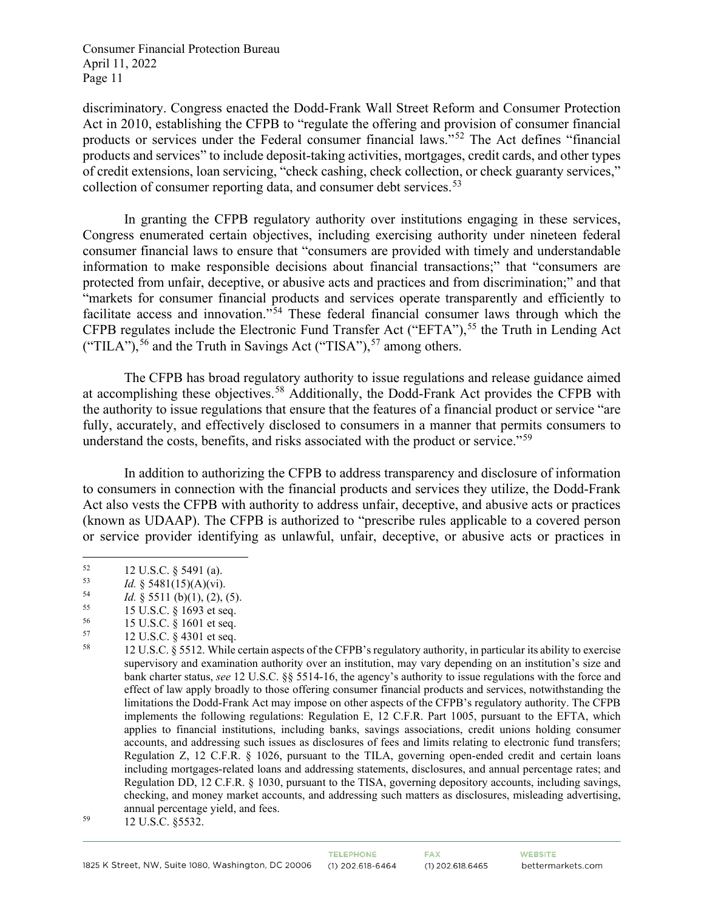discriminatory. Congress enacted the Dodd-Frank Wall Street Reform and Consumer Protection Act in 2010, establishing the CFPB to "regulate the offering and provision of consumer financial products or services under the Federal consumer financial laws."[52](#page-10-0) The Act defines "financial products and services" to include deposit-taking activities, mortgages, credit cards, and other types of credit extensions, loan servicing, "check cashing, check collection, or check guaranty services," collection of consumer reporting data, and consumer debt services.<sup>[53](#page-10-1)</sup>

In granting the CFPB regulatory authority over institutions engaging in these services, Congress enumerated certain objectives, including exercising authority under nineteen federal consumer financial laws to ensure that "consumers are provided with timely and understandable information to make responsible decisions about financial transactions;" that "consumers are protected from unfair, deceptive, or abusive acts and practices and from discrimination;" and that "markets for consumer financial products and services operate transparently and efficiently to facilitate access and innovation."<sup>[54](#page-10-2)</sup> These federal financial consumer laws through which the CFPB regulates include the Electronic Fund Transfer Act ("EFTA"),<sup>[55](#page-10-3)</sup> the Truth in Lending Act ("TILA"),  $56$  and the Truth in Savings Act ("TISA"),  $57$  among others.

The CFPB has broad regulatory authority to issue regulations and release guidance aimed at accomplishing these objectives.<sup>[58](#page-10-6)</sup> Additionally, the Dodd-Frank Act provides the CFPB with the authority to issue regulations that ensure that the features of a financial product or service "are fully, accurately, and effectively disclosed to consumers in a manner that permits consumers to understand the costs, benefits, and risks associated with the product or service."<sup>[59](#page-10-7)</sup>

In addition to authorizing the CFPB to address transparency and disclosure of information to consumers in connection with the financial products and services they utilize, the Dodd-Frank Act also vests the CFPB with authority to address unfair, deceptive, and abusive acts or practices (known as UDAAP). The CFPB is authorized to "prescribe rules applicable to a covered person or service provider identifying as unlawful, unfair, deceptive, or abusive acts or practices in

<span id="page-10-0"></span><sup>52 12</sup> U.S.C. § 5491 (a).<br>
53 *Id.* § 5481(15)(A)(vi).<br>
54 *Id.* § 5511 (b)(1) (2).

<span id="page-10-2"></span><span id="page-10-1"></span><sup>&</sup>lt;sup>54</sup> *Id.* § 5511 (b)(1), (2), (5).<br><sup>55</sup> **15 U S C** & 1693 et seq.

<span id="page-10-3"></span><sup>55</sup> 15 U.S.C. § 1693 et seq.

<span id="page-10-4"></span> $^{56}$  15 U.S.C. § 1601 et seq.<br>  $^{57}$  12 U.S.C. § 4301 et seq.

<span id="page-10-5"></span> $^{57}$  12 U.S.C. § 4301 et seq.<br> $^{58}$  12 U.S.C. § 5512 While

<span id="page-10-6"></span><sup>58</sup> 12 U.S.C. § 5512. While certain aspects of the CFPB's regulatory authority, in particular its ability to exercise supervisory and examination authority over an institution, may vary depending on an institution's size and bank charter status, *see* 12 U.S.C. §§ 5514-16, the agency's authority to issue regulations with the force and effect of law apply broadly to those offering consumer financial products and services, notwithstanding the limitations the Dodd-Frank Act may impose on other aspects of the CFPB's regulatory authority. The CFPB implements the following regulations: Regulation E, 12 C.F.R. Part 1005, pursuant to the EFTA, which applies to financial institutions, including banks, savings associations, credit unions holding consumer accounts, and addressing such issues as disclosures of fees and limits relating to electronic fund transfers; Regulation Z, 12 C.F.R. § 1026, pursuant to the TILA, governing open-ended credit and certain loans including mortgages-related loans and addressing statements, disclosures, and annual percentage rates; and Regulation DD, 12 C.F.R. § 1030, pursuant to the TISA, governing depository accounts, including savings, checking, and money market accounts, and addressing such matters as disclosures, misleading advertising, annual percentage yield, and fees.

<span id="page-10-7"></span><sup>59</sup> 12 U.S.C. §5532.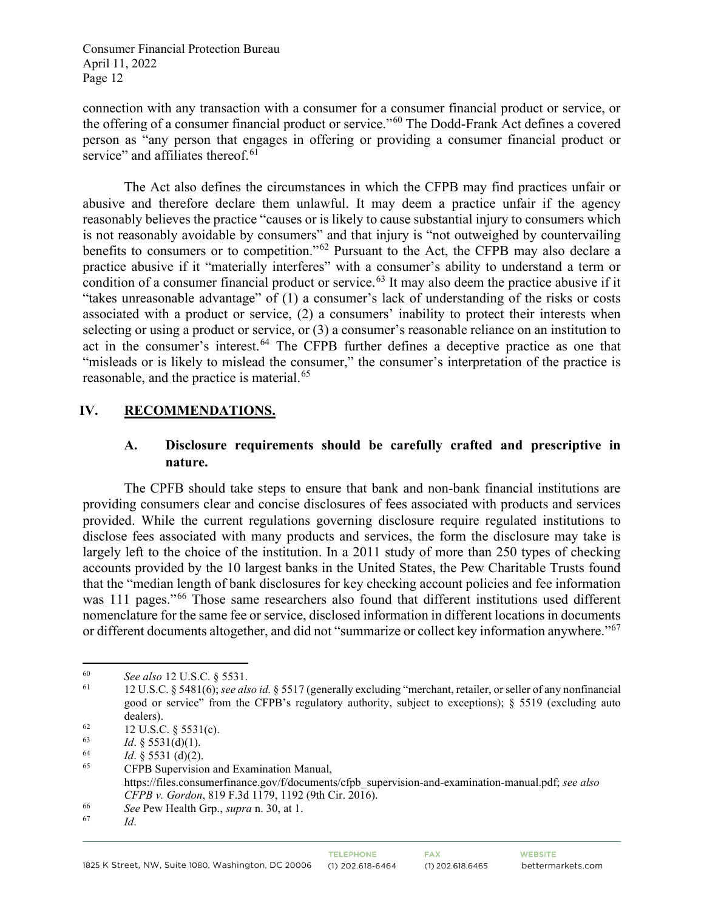connection with any transaction with a consumer for a consumer financial product or service, or the offering of a consumer financial product or service."[60](#page-11-0) The Dodd-Frank Act defines a covered person as "any person that engages in offering or providing a consumer financial product or service" and affiliates thereof.<sup>[61](#page-11-1)</sup>

The Act also defines the circumstances in which the CFPB may find practices unfair or abusive and therefore declare them unlawful. It may deem a practice unfair if the agency reasonably believes the practice "causes or is likely to cause substantial injury to consumers which is not reasonably avoidable by consumers" and that injury is "not outweighed by countervailing benefits to consumers or to competition."[62](#page-11-2) Pursuant to the Act, the CFPB may also declare a practice abusive if it "materially interferes" with a consumer's ability to understand a term or condition of a consumer financial product or service. [63](#page-11-3) It may also deem the practice abusive if it "takes unreasonable advantage" of (1) a consumer's lack of understanding of the risks or costs associated with a product or service, (2) a consumers' inability to protect their interests when selecting or using a product or service, or (3) a consumer's reasonable reliance on an institution to act in the consumer's interest.<sup>[64](#page-11-4)</sup> The CFPB further defines a deceptive practice as one that "misleads or is likely to mislead the consumer," the consumer's interpretation of the practice is reasonable, and the practice is material.<sup>[65](#page-11-5)</sup>

## **IV. RECOMMENDATIONS.**

## **A. Disclosure requirements should be carefully crafted and prescriptive in nature.**

The CPFB should take steps to ensure that bank and non-bank financial institutions are providing consumers clear and concise disclosures of fees associated with products and services provided. While the current regulations governing disclosure require regulated institutions to disclose fees associated with many products and services, the form the disclosure may take is largely left to the choice of the institution. In a 2011 study of more than 250 types of checking accounts provided by the 10 largest banks in the United States, the Pew Charitable Trusts found that the "median length of bank disclosures for key checking account policies and fee information was 111 pages."<sup>[66](#page-11-6)</sup> Those same researchers also found that different institutions used different nomenclature for the same fee or service, disclosed information in different locations in documents or different documents altogether, and did not "summarize or collect key information anywhere."[67](#page-11-7)

<span id="page-11-0"></span><sup>60</sup> *See also* 12 U.S.C. § 5531.

<span id="page-11-1"></span><sup>61</sup> 12 U.S.C. § 5481(6); *see also id.* § 5517 (generally excluding "merchant, retailer, or seller of any nonfinancial good or service" from the CFPB's regulatory authority, subject to exceptions); § 5519 (excluding auto dealers).<br>  $^{62}$  12 U.S.C. § 5531(c).<br>  $^{63}$   $^{14}$  § 5531(d)(1).

<span id="page-11-2"></span>

<span id="page-11-4"></span><span id="page-11-3"></span><sup>63</sup>*Id*. § 5531(d)(1). 64 *Id*. § 5531 (d)(2).

<span id="page-11-5"></span><sup>65</sup> CFPB Supervision and Examination Manual, https://files.consumerfinance.gov/f/documents/cfpb\_supervision-and-examination-manual.pdf; *see also CFPB v. Gordon*, 819 F.3d 1179, 1192 (9th Cir. 2016).

<span id="page-11-7"></span><span id="page-11-6"></span><sup>66</sup>*See* Pew Health Grp., *supra* n. 30, at 1. 67 *Id*.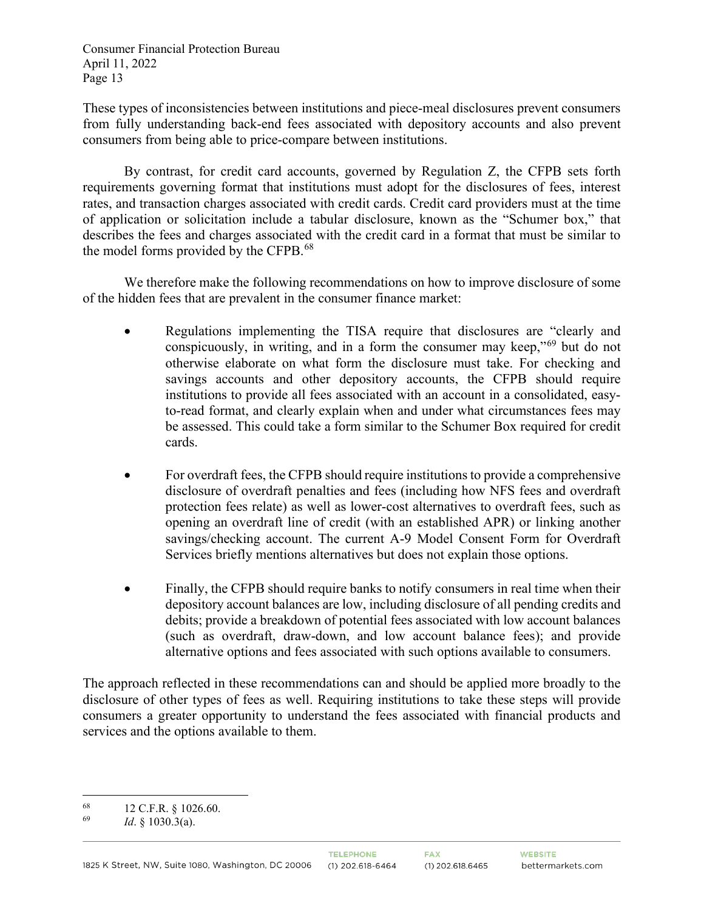These types of inconsistencies between institutions and piece-meal disclosures prevent consumers from fully understanding back-end fees associated with depository accounts and also prevent consumers from being able to price-compare between institutions.

By contrast, for credit card accounts, governed by Regulation Z, the CFPB sets forth requirements governing format that institutions must adopt for the disclosures of fees, interest rates, and transaction charges associated with credit cards. Credit card providers must at the time of application or solicitation include a tabular disclosure, known as the "Schumer box," that describes the fees and charges associated with the credit card in a format that must be similar to the model forms provided by the CFPB.<sup>[68](#page-12-0)</sup>

We therefore make the following recommendations on how to improve disclosure of some of the hidden fees that are prevalent in the consumer finance market:

- Regulations implementing the TISA require that disclosures are "clearly and conspicuously, in writing, and in a form the consumer may keep,"[69](#page-12-1) but do not otherwise elaborate on what form the disclosure must take. For checking and savings accounts and other depository accounts, the CFPB should require institutions to provide all fees associated with an account in a consolidated, easyto-read format, and clearly explain when and under what circumstances fees may be assessed. This could take a form similar to the Schumer Box required for credit cards.
- For overdraft fees, the CFPB should require institutions to provide a comprehensive disclosure of overdraft penalties and fees (including how NFS fees and overdraft protection fees relate) as well as lower-cost alternatives to overdraft fees, such as opening an overdraft line of credit (with an established APR) or linking another savings/checking account. The current A-9 Model Consent Form for Overdraft Services briefly mentions alternatives but does not explain those options.
- Finally, the CFPB should require banks to notify consumers in real time when their depository account balances are low, including disclosure of all pending credits and debits; provide a breakdown of potential fees associated with low account balances (such as overdraft, draw-down, and low account balance fees); and provide alternative options and fees associated with such options available to consumers.

The approach reflected in these recommendations can and should be applied more broadly to the disclosure of other types of fees as well. Requiring institutions to take these steps will provide consumers a greater opportunity to understand the fees associated with financial products and services and the options available to them.

<span id="page-12-0"></span> $^{68}$  12 C.F.R. § 1026.60.

<span id="page-12-1"></span>*Id.* § 1030.3(a).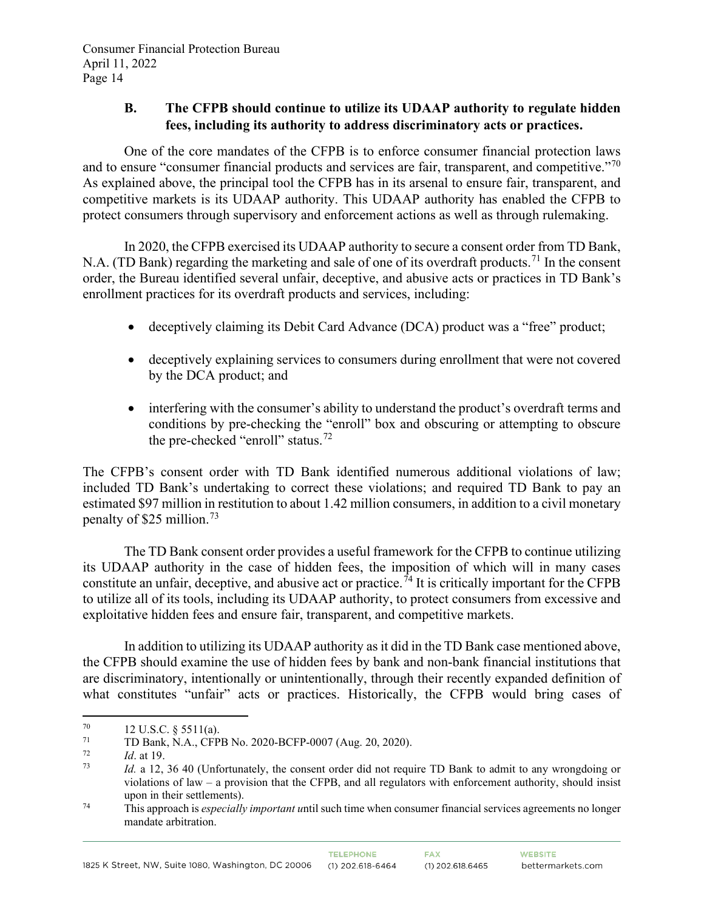## **B. The CFPB should continue to utilize its UDAAP authority to regulate hidden fees, including its authority to address discriminatory acts or practices.**

One of the core mandates of the CFPB is to enforce consumer financial protection laws and to ensure "consumer financial products and services are fair, transparent, and competitive."[70](#page-13-0) As explained above, the principal tool the CFPB has in its arsenal to ensure fair, transparent, and competitive markets is its UDAAP authority. This UDAAP authority has enabled the CFPB to protect consumers through supervisory and enforcement actions as well as through rulemaking.

In 2020, the CFPB exercised its UDAAP authority to secure a consent order from TD Bank, N.A. (TD Bank) regarding the marketing and sale of one of its overdraft products.<sup>[71](#page-13-1)</sup> In the consent order, the Bureau identified several unfair, deceptive, and abusive acts or practices in TD Bank's enrollment practices for its overdraft products and services, including:

- deceptively claiming its Debit Card Advance (DCA) product was a "free" product;
- deceptively explaining services to consumers during enrollment that were not covered by the DCA product; and
- interfering with the consumer's ability to understand the product's overdraft terms and conditions by pre-checking the "enroll" box and obscuring or attempting to obscure the pre-checked "enroll" status.<sup>[72](#page-13-2)</sup>

The CFPB's consent order with TD Bank identified numerous additional violations of law; included TD Bank's undertaking to correct these violations; and required TD Bank to pay an estimated \$97 million in restitution to about 1.42 million consumers, in addition to a civil monetary penalty of \$25 million.[73](#page-13-3)

The TD Bank consent order provides a useful framework for the CFPB to continue utilizing its UDAAP authority in the case of hidden fees, the imposition of which will in many cases constitute an unfair, deceptive, and abusive act or practice.<sup>[74](#page-13-4)</sup> It is critically important for the CFPB to utilize all of its tools, including its UDAAP authority, to protect consumers from excessive and exploitative hidden fees and ensure fair, transparent, and competitive markets.

In addition to utilizing its UDAAP authority as it did in the TD Bank case mentioned above, the CFPB should examine the use of hidden fees by bank and non-bank financial institutions that are discriminatory, intentionally or unintentionally, through their recently expanded definition of what constitutes "unfair" acts or practices. Historically, the CFPB would bring cases of

<span id="page-13-0"></span> $^{70}$  12 U.S.C. § 5511(a).<br>  $^{71}$  TD Bank N A CED

<span id="page-13-1"></span> $^{71}$  TD Bank, N.A., CFPB No. 2020-BCFP-0007 (Aug. 20, 2020).<br> $^{72}$  Id at 19

<span id="page-13-3"></span><span id="page-13-2"></span> $\frac{72}{73}$  *Id.* at 19.

*Id.* a 12, 36 40 (Unfortunately, the consent order did not require TD Bank to admit to any wrongdoing or violations of law – a provision that the CFPB, and all regulators with enforcement authority, should insist upon in their settlements).

<span id="page-13-4"></span><sup>74</sup> This approach is *especially important u*ntil such time when consumer financial services agreements no longer mandate arbitration.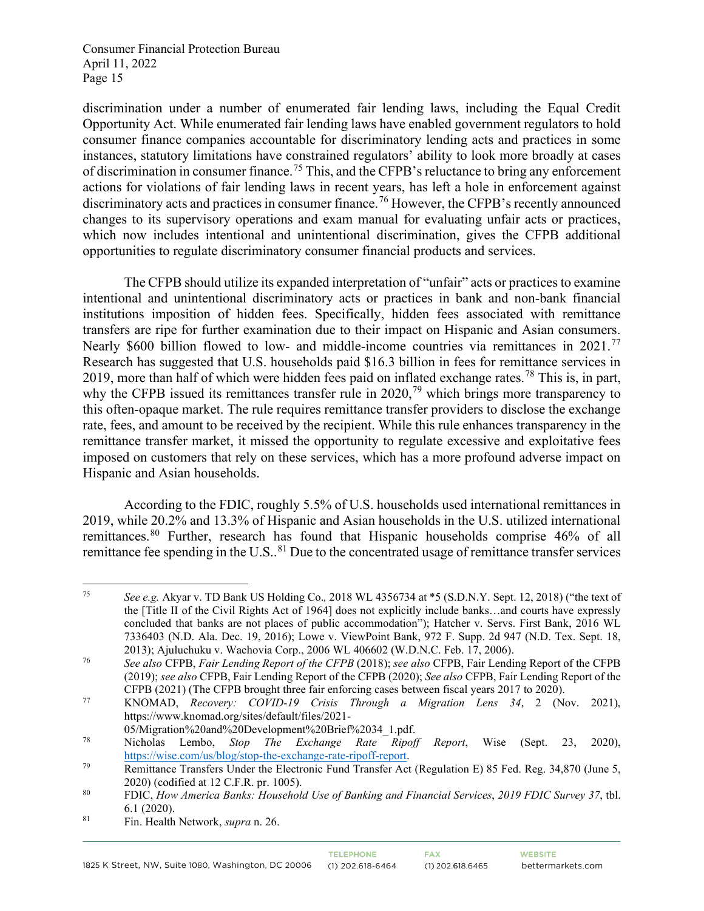discrimination under a number of enumerated fair lending laws, including the Equal Credit Opportunity Act. While enumerated fair lending laws have enabled government regulators to hold consumer finance companies accountable for discriminatory lending acts and practices in some instances, statutory limitations have constrained regulators' ability to look more broadly at cases of discrimination in consumer finance.[75](#page-14-0) This, and the CFPB's reluctance to bring any enforcement actions for violations of fair lending laws in recent years, has left a hole in enforcement against discriminatory acts and practices in consumer finance.<sup>[76](#page-14-1)</sup> However, the CFPB's recently announced changes to its supervisory operations and exam manual for evaluating unfair acts or practices, which now includes intentional and unintentional discrimination, gives the CFPB additional opportunities to regulate discriminatory consumer financial products and services.

The CFPB should utilize its expanded interpretation of "unfair" acts or practices to examine intentional and unintentional discriminatory acts or practices in bank and non-bank financial institutions imposition of hidden fees. Specifically, hidden fees associated with remittance transfers are ripe for further examination due to their impact on Hispanic and Asian consumers. Nearly \$600 billion flowed to low- and middle-income countries via remittances in 2021.<sup>[77](#page-14-2)</sup> Research has suggested that U.S. households paid \$16.3 billion in fees for remittance services in 2019, more than half of which were hidden fees paid on inflated exchange rates.[78](#page-14-3) This is, in part, why the CFPB issued its remittances transfer rule in  $2020$ ,<sup>[79](#page-14-4)</sup> which brings more transparency to this often-opaque market. The rule requires remittance transfer providers to disclose the exchange rate, fees, and amount to be received by the recipient. While this rule enhances transparency in the remittance transfer market, it missed the opportunity to regulate excessive and exploitative fees imposed on customers that rely on these services, which has a more profound adverse impact on Hispanic and Asian households.

According to the FDIC, roughly 5.5% of U.S. households used international remittances in 2019, while 20.2% and 13.3% of Hispanic and Asian households in the U.S. utilized international remittances.<sup>[80](#page-14-5)</sup> Further, research has found that Hispanic households comprise 46% of all remittance fee spending in the U.S..<sup>[81](#page-14-6)</sup> Due to the concentrated usage of remittance transfer services

<span id="page-14-6"></span>81 Fin. Health Network, *supra* n. 26.

<span id="page-14-0"></span><sup>75</sup> *See e.g.* Akyar v. TD Bank US Holding Co.*,* 2018 WL 4356734 at \*5 (S.D.N.Y. Sept. 12, 2018) ("the text of the [Title II of the Civil Rights Act of 1964] does not explicitly include banks…and courts have expressly concluded that banks are not places of public accommodation"); Hatcher v. Servs. First Bank, 2016 WL 7336403 (N.D. Ala. Dec. 19, 2016); Lowe v. ViewPoint Bank, 972 F. Supp. 2d 947 (N.D. Tex. Sept. 18, 2013); Ajuluchuku v. Wachovia Corp., 2006 WL 406602 (W.D.N.C. Feb. 17, 2006).

<span id="page-14-1"></span><sup>76</sup> *See also* CFPB, *Fair Lending Report of the CFPB* (2018); *see also* CFPB, Fair Lending Report of the CFPB (2019); *see also* CFPB, Fair Lending Report of the CFPB (2020); *See also* CFPB, Fair Lending Report of the CFPB (2021) (The CFPB brought three fair enforcing cases between fiscal years 2017 to 2020).

<span id="page-14-2"></span><sup>77</sup> KNOMAD, *Recovery: COVID-19 Crisis Through a Migration Lens 34*, 2 (Nov. 2021), https://www.knomad.org/sites/default/files/2021-

<span id="page-14-3"></span><sup>05/</sup>Migration%20and%20Development%20Brief%2034\_1.pdf. 78 Nicholas Lembo, *Stop The Exchange Rate Ripoff Report*, Wise (Sept. 23, 2020), [https://wise.com/us/blog/stop-the-exchange-rate-ripoff-report.](https://wise.com/us/blog/stop-the-exchange-rate-ripoff-report)<br>79 Remittance Transfers Under the Electronic Fund Transfer Act (Regulation E) 85 Fed. Reg. 34,870 (June 5,

<span id="page-14-4"></span><sup>2020) (</sup>codified at 12 C.F.R. pr. 1005). 80 FDIC, *How America Banks: Household Use of Banking and Financial Services*, *2019 FDIC Survey 37*, tbl.

<span id="page-14-5"></span><sup>6.1</sup> (2020).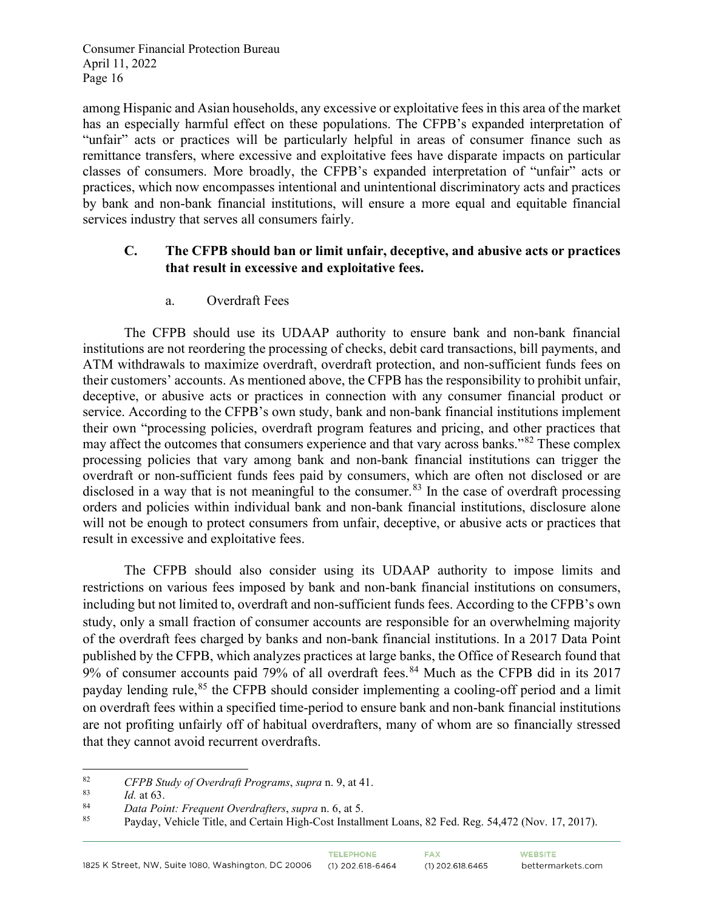among Hispanic and Asian households, any excessive or exploitative fees in this area of the market has an especially harmful effect on these populations. The CFPB's expanded interpretation of "unfair" acts or practices will be particularly helpful in areas of consumer finance such as remittance transfers, where excessive and exploitative fees have disparate impacts on particular classes of consumers. More broadly, the CFPB's expanded interpretation of "unfair" acts or practices, which now encompasses intentional and unintentional discriminatory acts and practices by bank and non-bank financial institutions, will ensure a more equal and equitable financial services industry that serves all consumers fairly.

## **C. The CFPB should ban or limit unfair, deceptive, and abusive acts or practices that result in excessive and exploitative fees.**

a. Overdraft Fees

The CFPB should use its UDAAP authority to ensure bank and non-bank financial institutions are not reordering the processing of checks, debit card transactions, bill payments, and ATM withdrawals to maximize overdraft, overdraft protection, and non-sufficient funds fees on their customers' accounts. As mentioned above, the CFPB has the responsibility to prohibit unfair, deceptive, or abusive acts or practices in connection with any consumer financial product or service. According to the CFPB's own study, bank and non-bank financial institutions implement their own "processing policies, overdraft program features and pricing, and other practices that may affect the outcomes that consumers experience and that vary across banks."[82](#page-15-0) These complex processing policies that vary among bank and non-bank financial institutions can trigger the overdraft or non-sufficient funds fees paid by consumers, which are often not disclosed or are disclosed in a way that is not meaningful to the consumer.<sup>[83](#page-15-1)</sup> In the case of overdraft processing orders and policies within individual bank and non-bank financial institutions, disclosure alone will not be enough to protect consumers from unfair, deceptive, or abusive acts or practices that result in excessive and exploitative fees.

The CFPB should also consider using its UDAAP authority to impose limits and restrictions on various fees imposed by bank and non-bank financial institutions on consumers, including but not limited to, overdraft and non-sufficient funds fees. According to the CFPB's own study, only a small fraction of consumer accounts are responsible for an overwhelming majority of the overdraft fees charged by banks and non-bank financial institutions. In a 2017 Data Point published by the CFPB, which analyzes practices at large banks, the Office of Research found that 9% of consumer accounts paid 79% of all overdraft fees.<sup>[84](#page-15-2)</sup> Much as the CFPB did in its 2017 payday lending rule,<sup>[85](#page-15-3)</sup> the CFPB should consider implementing a cooling-off period and a limit on overdraft fees within a specified time-period to ensure bank and non-bank financial institutions are not profiting unfairly off of habitual overdrafters, many of whom are so financially stressed that they cannot avoid recurrent overdrafts.

<span id="page-15-0"></span><sup>82</sup> *CFPB Study of Overdraft Programs*, *supra* n. 9, at 41.

<span id="page-15-1"></span> $\frac{83}{84}$  *Id.* at 63.

<span id="page-15-2"></span><sup>84</sup> *Data Point: Frequent Overdrafters*, *supra* n. 6, at 5.

<span id="page-15-3"></span>Payday, Vehicle Title, and Certain High-Cost Installment Loans, 82 Fed. Reg. 54,472 (Nov. 17, 2017).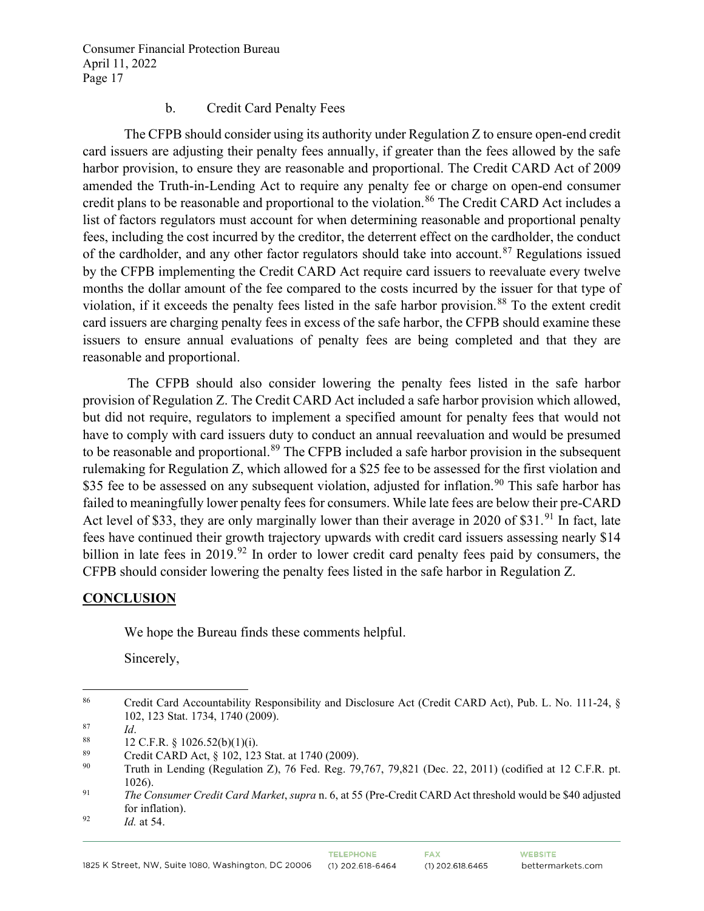#### b. Credit Card Penalty Fees

The CFPB should consider using its authority under Regulation Z to ensure open-end credit card issuers are adjusting their penalty fees annually, if greater than the fees allowed by the safe harbor provision, to ensure they are reasonable and proportional. The Credit CARD Act of 2009 amended the Truth-in-Lending Act to require any penalty fee or charge on open-end consumer credit plans to be reasonable and proportional to the violation.<sup>[86](#page-16-0)</sup> The Credit CARD Act includes a list of factors regulators must account for when determining reasonable and proportional penalty fees, including the cost incurred by the creditor, the deterrent effect on the cardholder, the conduct of the cardholder, and any other factor regulators should take into account.<sup>[87](#page-16-1)</sup> Regulations issued by the CFPB implementing the Credit CARD Act require card issuers to reevaluate every twelve months the dollar amount of the fee compared to the costs incurred by the issuer for that type of violation, if it exceeds the penalty fees listed in the safe harbor provision.<sup>[88](#page-16-2)</sup> To the extent credit card issuers are charging penalty fees in excess of the safe harbor, the CFPB should examine these issuers to ensure annual evaluations of penalty fees are being completed and that they are reasonable and proportional.

The CFPB should also consider lowering the penalty fees listed in the safe harbor provision of Regulation Z. The Credit CARD Act included a safe harbor provision which allowed, but did not require, regulators to implement a specified amount for penalty fees that would not have to comply with card issuers duty to conduct an annual reevaluation and would be presumed to be reasonable and proportional.<sup>[89](#page-16-3)</sup> The CFPB included a safe harbor provision in the subsequent rulemaking for Regulation Z, which allowed for a \$25 fee to be assessed for the first violation and \$35 fee to be assessed on any subsequent violation, adjusted for inflation.<sup>[90](#page-16-4)</sup> This safe harbor has failed to meaningfully lower penalty fees for consumers. While late fees are below their pre-CARD Act level of \$33, they are only marginally lower than their average in 2020 of \$31.<sup>[91](#page-16-5)</sup> In fact, late fees have continued their growth trajectory upwards with credit card issuers assessing nearly \$14 billion in late fees in 2019.<sup>[92](#page-16-6)</sup> In order to lower credit card penalty fees paid by consumers, the CFPB should consider lowering the penalty fees listed in the safe harbor in Regulation Z.

### **CONCLUSION**

We hope the Bureau finds these comments helpful.

Sincerely,

**TELEPHONE** 

**FAX** 

<span id="page-16-0"></span><sup>86</sup> Credit Card Accountability Responsibility and Disclosure Act (Credit CARD Act), Pub. L. No. 111-24, § 102, 123 Stat. 1734, 1740 (2009).

<span id="page-16-2"></span><span id="page-16-1"></span><sup>87</sup> *Id.*<br>
88 12 C.F.R. § 1026.52(b)(1)(i).<br>
89 Credit CARD Act, § 102, 123 Stat. at 1740 (2009).<br>
90 Truth in Landing (Bossilation 7), 76 Fed. Bee, 70

<span id="page-16-4"></span><span id="page-16-3"></span><sup>90</sup> Truth in Lending (Regulation Z), 76 Fed. Reg. 79,767, 79,821 (Dec. 22, 2011) (codified at 12 C.F.R. pt. 1026).

<span id="page-16-5"></span><sup>91</sup> *The Consumer Credit Card Market*, *supra* n. 6, at 55 (Pre-Credit CARD Act threshold would be \$40 adjusted for inflation).

<span id="page-16-6"></span><sup>92</sup> *Id.* at 54.